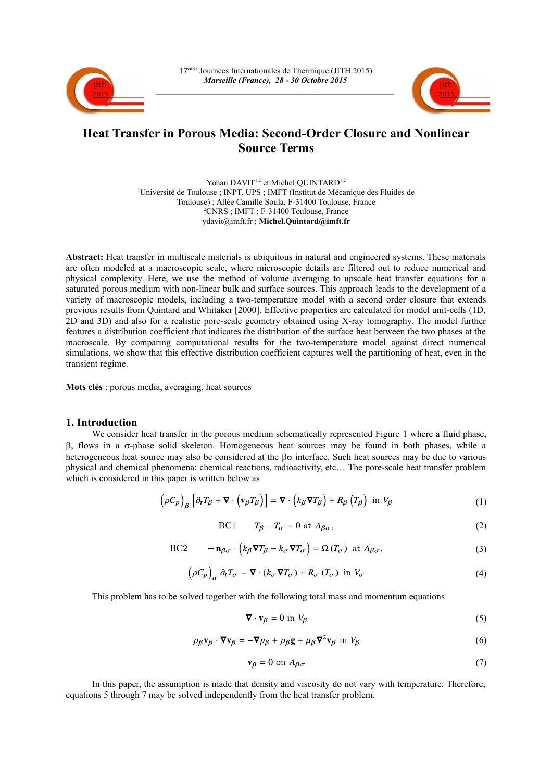



# **Heat Transfer in Porous Media: Second-Order Closure and Nonlinear Source Terms**

Yohan DAVIT<sup>1,2</sup> et Michel QUINTARD<sup>1,2</sup> <sup>1</sup>Université de Toulouse ; INPT, UPS ; IMFT (Institut de Mécanique des Fluides de Toulouse) ; Allée Camille Soula, F-31400 Toulouse, France <sup>2</sup>CNRS ; IMFT ; F-31400 Toulouse, France ydavit@imft.fr ; **Michel.Quintard@imft.fr**

**Abstract:** Heat transfer in multiscale materials is ubiquitous in natural and engineered systems. These materials are often modeled at a macroscopic scale, where microscopic details are filtered out to reduce numerical and physical complexity. Here, we use the method of volume averaging to upscale heat transfer equations for a saturated porous medium with non-linear bulk and surface sources. This approach leads to the development of a variety of macroscopic models, including a two-temperature model with a second order closure that extends previous results from Quintard and Whitaker [2000]. Effective properties are calculated for model unit-cells (1D, 2D and 3D) and also for a realistic pore-scale geometry obtained using X-ray tomography. The model further features a distribution coefficient that indicates the distribution of the surface heat between the two phases at the macroscale. By comparing computational results for the two-temperature model against direct numerical simulations, we show that this effective distribution coefficient captures well the partitioning of heat, even in the transient regime.

**Mots clés** : porous media, averaging, heat sources

## **1. Introduction**

We consider heat transfer in the porous medium schematically represented Figure [1](#page-1-0) where a fluid phase,  $\beta$ , flows in a  $\sigma$ -phase solid skeleton. Homogeneous heat sources may be found in both phases, while a heterogeneous heat source may also be considered at the  $\beta\sigma$  interface. Such heat sources may be due to various physical and chemical phenomena: chemical reactions, radioactivity, etc… The pore-scale heat transfer problem which is considered in this paper is written below as

$$
\left(\rho C_p\right)_{\beta} \left[\partial_t T_{\beta} + \mathbf{\nabla} \cdot \left(\mathbf{v}_{\beta} T_{\beta}\right)\right] = \mathbf{\nabla} \cdot \left(k_{\beta} \mathbf{\nabla} T_{\beta}\right) + R_{\beta} \left(T_{\beta}\right) \text{ in } V_{\beta} \tag{1}
$$

$$
BC1 \t T_{\beta} - T_{\sigma} = 0 \t at A_{\beta\sigma}, \t (2)
$$

BC2 
$$
-\mathbf{n}_{\beta\sigma} \cdot \left(k_{\beta} \nabla T_{\beta} - k_{\sigma} \nabla T_{\sigma}\right) = \Omega(T_{\sigma}) \text{ at } A_{\beta\sigma},
$$
(3)

$$
\left(\rho C_p\right)_{\sigma} \partial_t T_{\sigma} = \mathbf{\nabla} \cdot \left(k_{\sigma} \mathbf{\nabla} T_{\sigma}\right) + R_{\sigma} \left(T_{\sigma}\right) \text{ in } V_{\sigma} \tag{4}
$$

This problem has to be solved together with the following total mass and momentum equations

<span id="page-0-2"></span><span id="page-0-1"></span>
$$
\nabla \cdot \mathbf{v}_{\beta} = 0 \text{ in } V_{\beta} \tag{5}
$$

$$
\rho_{\beta} \mathbf{v}_{\beta} \cdot \mathbf{\nabla} \mathbf{v}_{\beta} = -\mathbf{\nabla} p_{\beta} + \rho_{\beta} \mathbf{g} + \mu_{\beta} \mathbf{\nabla}^2 \mathbf{v}_{\beta} \text{ in } V_{\beta}
$$
(6)

<span id="page-0-0"></span>
$$
\mathbf{v}_{\beta} = 0 \text{ on } A_{\beta\sigma} \tag{7}
$$

In this paper, the assumption is made that density and viscosity do not vary with temperature. Therefore, equations [5](#page-0-1) through [7](#page-0-0) may be solved independently from the heat transfer problem.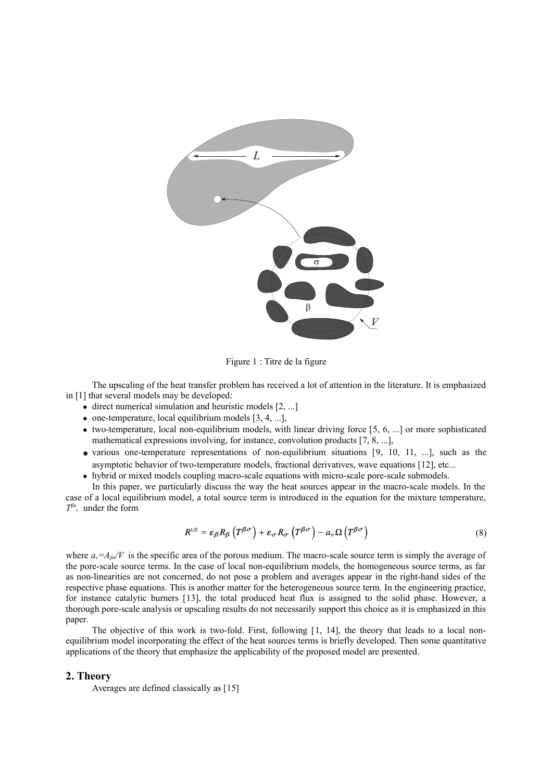

<span id="page-1-0"></span>Figure 1 : Titre de la figure

The upscaling of the heat transfer problem has received a lot of attention in the literature. It is emphasized in [1] that several models may be developed:

- $\bullet$  direct numerical simulation and heuristic models  $[2, \dots]$  $[2, \dots]$
- $\bullet$  one-temperature, local equilibrium models [\[3,](#page-8-13) [4,](#page-8-12) ...],
- two-temperature, local non-equilibrium models, with linear driving force [\[5,](#page-8-11) [6,](#page-8-10) ...] or more sophisticated mathematical expressions involving, for instance, convolution products [\[7,](#page-8-9) [8,](#page-8-8) ...],
- various one-temperature representations of non-equilibrium situations [\[9,](#page-8-7) [10,](#page-8-6) [11,](#page-8-5) ...], such as the asymptotic behavior of two-temperature models, fractional derivatives, wave equations [\[12\]](#page-8-4), etc...
- hybrid or mixed models coupling macro-scale equations with micro-scale pore-scale submodels.

In this paper, we particularly discuss the way the heat sources appear in the macro-scale models. In the case of a local equilibrium model, a total source term is introduced in the equation for the mixture temperature, *T βσ ,* under the form

$$
R^{\text{LE}} = \varepsilon_{\beta} R_{\beta} \left( T^{\beta \sigma} \right) + \varepsilon_{\sigma} R_{\sigma} \left( T^{\beta \sigma} \right) - a_{\nu} \Omega \left( T^{\beta \sigma} \right) \tag{8}
$$

where  $a_v = A_{\beta o}/V$  is the specific area of the porous medium. The macro-scale source term is simply the average of the pore-scale source terms. In the case of local non-equilibrium models, the homogeneous source terms, as far as non-linearities are not concerned, do not pose a problem and averages appear in the right-hand sides of the respective phase equations. This is another matter for the heterogeneous source term. In the engineering practice, for instance catalytic burners [\[13\]](#page-8-3), the total produced heat flux is assigned to the solid phase. However, a thorough pore-scale analysis or upscaling results do not necessarily support this choice as it is emphasized in this paper.

The objective of this work is two-fold. First, following [[1,](#page-8-2) [14\]](#page-8-1), the theory that leads to a local nonequilibrium model incorporating the effect of the heat sources terms is briefly developed. Then some quantitative applications of the theory that emphasize the applicability of the proposed model are presented.

#### **2. Theory**

Averages are defined classically as [\[15\]](#page-8-0)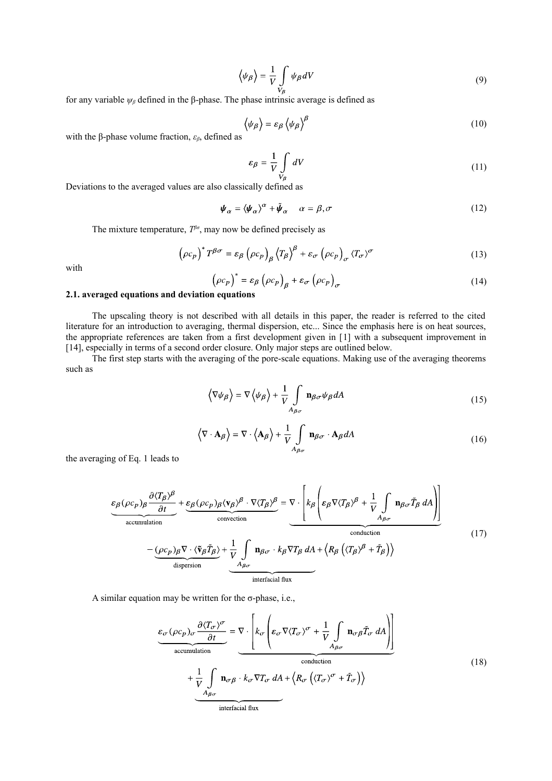$$
\left\langle \psi_{\beta} \right\rangle = \frac{1}{V} \int_{V_{\beta}} \psi_{\beta} dV \tag{9}
$$

for any variable *ψβ* defined in the β-phase. The phase intrinsic average is defined as

$$
\langle \psi_{\beta} \rangle = \varepsilon_{\beta} \langle \psi_{\beta} \rangle^{\beta} \tag{10}
$$

with the β-phase volume fraction, *εβ*, defined as

<span id="page-2-0"></span>
$$
\varepsilon_{\beta} = \frac{1}{V} \int_{V_{\beta}} dV \tag{11}
$$

Deviations to the averaged values are also classically defined as

$$
\psi_{\alpha} = \langle \psi_{\alpha} \rangle^{\alpha} + \tilde{\psi}_{\alpha} \quad \alpha = \beta, \sigma \tag{12}
$$

The mixture temperature,  $T^{\beta\sigma}$ , may now be defined precisely as

$$
\left(\rho c_p\right)^* T^{\beta \sigma} = \varepsilon_\beta \left(\rho c_p\right)_{\beta} \left\langle T_\beta\right\rangle^{\beta} + \varepsilon_\sigma \left(\rho c_p\right)_{\sigma} \left\langle T_\sigma\right\rangle^{\sigma} \tag{13}
$$

with

$$
(\rho c_p)^* = \varepsilon_\beta (\rho c_p)_\beta + \varepsilon_\sigma (\rho c_p)_\sigma \tag{14}
$$

# **2.1. averaged equations and deviation equations**

The upscaling theory is not described with all details in this paper, the reader is referred to the cited literature for an introduction to averaging, thermal dispersion, etc... Since the emphasis here is on heat sources, the appropriate references are taken from a first development given in [\[1\]](#page-8-2) with a subsequent improvement in [\[14\]](#page-8-1), especially in terms of a second order closure. Only major steps are outlined below.

The first step starts with the averaging of the pore-scale equations. Making use of the averaging theorems such as

$$
\langle \nabla \psi_{\beta} \rangle = \nabla \langle \psi_{\beta} \rangle + \frac{1}{V} \int_{A_{\beta \sigma}} \mathbf{n}_{\beta \sigma} \psi_{\beta} dA
$$
 (15)

<span id="page-2-2"></span>
$$
\langle \nabla \cdot \mathbf{A}_{\beta} \rangle = \nabla \cdot \langle \mathbf{A}_{\beta} \rangle + \frac{1}{V} \int_{A_{\beta\sigma}} \mathbf{n}_{\beta\sigma} \cdot \mathbf{A}_{\beta} dA
$$
 (16)

the averaging of Eq. [1](#page-0-2) leads to

$$
\underbrace{\varepsilon_{\beta}(\rho c_{p})_{\beta} \frac{\partial \langle T_{\beta} \rangle^{\beta}}{\partial t}}_{\text{accumulation}} + \underbrace{\varepsilon_{\beta}(\rho c_{p})_{\beta} \langle \mathbf{v}_{\beta} \rangle^{\beta} \cdot \nabla \langle T_{\beta} \rangle^{\beta}}_{\text{convection}} = \nabla \cdot \left[ k_{\beta} \left( \varepsilon_{\beta} \nabla \langle T_{\beta} \rangle^{\beta} + \frac{1}{V} \int_{A_{\beta \sigma}} \mathbf{n}_{\beta \sigma} \tilde{T}_{\beta} dA \right) \right]
$$
\n
$$
- \underbrace{(\rho c_{p})_{\beta} \nabla \cdot \langle \tilde{\mathbf{v}}_{\beta} \tilde{T}_{\beta} \rangle}_{\text{dispersion}} + \underbrace{\frac{1}{V} \int_{A_{\beta \sigma}} \mathbf{n}_{\beta \sigma} \cdot k_{\beta} \nabla T_{\beta} dA + \langle R_{\beta} \left( \langle T_{\beta} \rangle^{\beta} + \tilde{T}_{\beta} \right) \rangle}_{\text{interfacial flux}}
$$
\n(17)

A similar equation may be written for the  $\sigma$ -phase, i.e.,

$$
\frac{\varepsilon_{\sigma}(\rho c_{p})_{\sigma} \frac{\partial \langle T_{\sigma} \rangle^{\sigma}}{\partial t}}{\operatorname{accumulation}} = \nabla \cdot \left[ k_{\sigma} \left( \varepsilon_{\sigma} \nabla \langle T_{\sigma} \rangle^{\sigma} + \frac{1}{V} \int_{A_{\beta \sigma}} \mathbf{n}_{\sigma \beta} \tilde{T}_{\sigma} dA \right) \right]
$$
\n
$$
+ \frac{1}{V} \int_{A_{\beta \sigma}} \mathbf{n}_{\sigma \beta} \cdot k_{\sigma} \nabla T_{\sigma} dA + \left\langle R_{\sigma} \left( \langle T_{\sigma} \rangle^{\sigma} + \tilde{T}_{\sigma} \right) \right\rangle
$$
\n(18)

\ninterfacial flux

<span id="page-2-1"></span>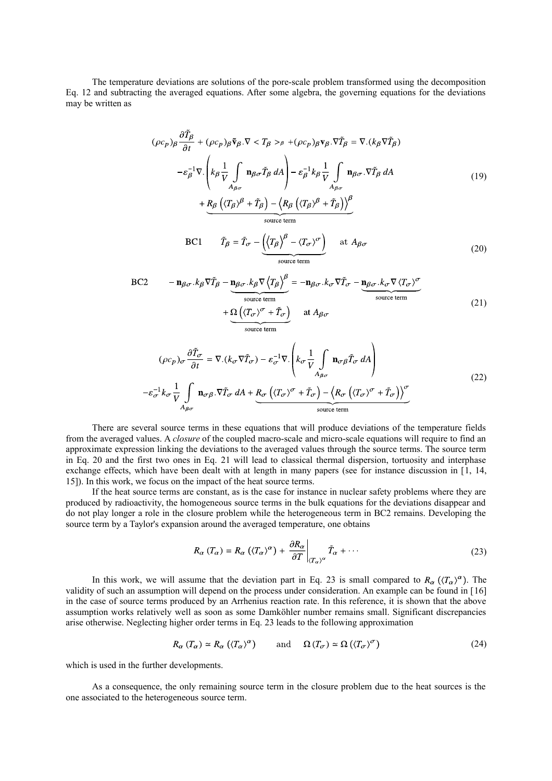The temperature deviations are solutions of the pore-scale problem transformed using the decomposition Eq. [12](#page-2-0) and subtracting the averaged equations. After some algebra, the governing equations for the deviations may be written as

$$
(\rho c_p)_{\beta} \frac{\partial \tilde{T}_{\beta}}{\partial t} + (\rho c_p)_{\beta} \tilde{\mathbf{v}}_{\beta} . \nabla < T_{\beta} >_{\beta} + (\rho c_p)_{\beta} \mathbf{v}_{\beta} . \nabla \tilde{T}_{\beta} = \nabla . (k_{\beta} \nabla \tilde{T}_{\beta})
$$
  
\n
$$
- \varepsilon_{\beta}^{-1} \nabla . \left( k_{\beta} \frac{1}{V} \int_{A_{\beta \sigma}} \mathbf{n}_{\beta \sigma} \tilde{T}_{\beta} dA \right) - \varepsilon_{\beta}^{-1} k_{\beta} \frac{1}{V} \int_{A_{\beta \sigma}} \mathbf{n}_{\beta \sigma} . \nabla \tilde{T}_{\beta} dA
$$
  
\n
$$
+ \underbrace{R_{\beta} \left( \langle T_{\beta} \rangle^{\beta} + \tilde{T}_{\beta} \right) - \left( R_{\beta} \left( \langle T_{\beta} \rangle^{\beta} + \tilde{T}_{\beta} \right) \right)^{\beta}}_{\text{source term}}
$$
\n(19)

<span id="page-3-2"></span><span id="page-3-1"></span>BC1 
$$
\tilde{T}_{\beta} = \tilde{T}_{\sigma} - \underbrace{\left(\left(T_{\beta}\right)^{\beta} - \left(T_{\sigma}\right)^{\sigma}\right)}_{\text{source term}} \quad \text{at } A_{\beta\sigma} \tag{20}
$$

BC2 
$$
- \mathbf{n}_{\beta\sigma} \cdot k_{\beta} \nabla \tilde{T}_{\beta} - \underbrace{\mathbf{n}_{\beta\sigma} \cdot k_{\beta} \nabla \left\langle T_{\beta} \right\rangle^{\beta}}_{\text{source term}} = -\mathbf{n}_{\beta\sigma} \cdot k_{\sigma} \nabla \tilde{T}_{\sigma} - \underbrace{\mathbf{n}_{\beta\sigma} \cdot k_{\sigma} \nabla \left\langle T_{\sigma} \right\rangle^{\sigma}}_{\text{source term}}
$$
\n
$$
+ \underbrace{\Omega \left( \left\langle T_{\sigma} \right\rangle^{\sigma} + \tilde{T}_{\sigma} \right)}_{\text{source term}} \quad \text{at } A_{\beta\sigma} \tag{21}
$$

$$
(\rho c_p)_{\sigma} \frac{\partial \tilde{T}_{\sigma}}{\partial t} = \nabla \cdot (k_{\sigma} \nabla \tilde{T}_{\sigma}) - \varepsilon_{\sigma}^{-1} \nabla \cdot \left( k_{\sigma} \frac{1}{V} \int_{A_{\beta\sigma}} \mathbf{n}_{\sigma\beta} \tilde{T}_{\sigma} dA \right)
$$
  

$$
-\varepsilon_{\sigma}^{-1} k_{\sigma} \frac{1}{V} \int_{A_{\beta\sigma}} \mathbf{n}_{\sigma\beta} \cdot \nabla \tilde{T}_{\sigma} dA + \underbrace{R_{\sigma} \left( \langle T_{\sigma} \rangle^{\sigma} + \tilde{T}_{\sigma} \right) - \left\langle R_{\sigma} \left( \langle T_{\sigma} \rangle^{\sigma} + \tilde{T}_{\sigma} \right) \right\rangle^{\sigma}}_{\text{source term}}
$$
\n(22)

There are several source terms in these equations that will produce deviations of the temperature fields from the averaged values. A *closure* of the coupled macro-scale and micro-scale equations will require to find an approximate expression linking the deviations to the averaged values through the source terms. The source term in Eq. [20](#page-3-2) and the first two ones in Eq. [21](#page-3-1) will lead to classical thermal dispersion, tortuosity and interphase exchange effects, which have been dealt with at length in many papers (see for instance discussion in [\[1,](#page-8-2) [14,](#page-8-1) [15\]](#page-8-0)). In this work, we focus on the impact of the heat source terms.

If the heat source terms are constant, as is the case for instance in nuclear safety problems where they are produced by radioactivity, the homogeneous source terms in the bulk equations for the deviations disappear and do not play longer a role in the closure problem while the heterogeneous term in BC2 remains. Developing the source term by a Taylor's expansion around the averaged temperature, one obtains

<span id="page-3-0"></span>
$$
R_{\alpha}(T_{\alpha}) = R_{\alpha}((T_{\alpha})^{\alpha}) + \left. \frac{\partial R_{\alpha}}{\partial T} \right|_{(T_{\alpha})^{\alpha}} \tilde{T}_{\alpha} + \cdots \tag{23}
$$

In this work, we will assume that the deviation part in Eq. [23](#page-3-0) is small compared to  $R_{\alpha}$   $(\langle T_{\alpha}\rangle^{\alpha})$ . The validity of such an assumption will depend on the process under consideration. An example can be found in [\[16\]](#page-8-15) in the case of source terms produced by an Arrhenius reaction rate. In this reference, it is shown that the above assumption works relatively well as soon as some Damköhler number remains small. Significant discrepancies arise otherwise. Neglecting higher order terms in Eq. [23](#page-3-0) leads to the following approximation

$$
R_{\alpha}(T_{\alpha}) \simeq R_{\alpha}((T_{\alpha})^{\alpha}) \quad \text{and} \quad \Omega(T_{\sigma}) \simeq \Omega((T_{\sigma})^{\sigma}) \tag{24}
$$

which is used in the further developments.

As a consequence, the only remaining source term in the closure problem due to the heat sources is the one associated to the heterogeneous source term.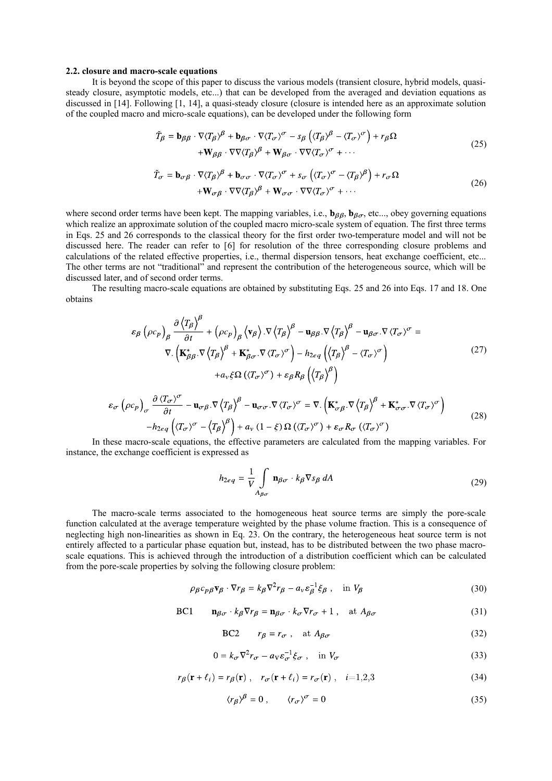#### **2.2. closure and macro-scale equations**

It is beyond the scope of this paper to discuss the various models (transient closure, hybrid models, quasisteady closure, asymptotic models, etc...) that can be developed from the averaged and deviation equations as discussed in [\[14\]](#page-8-1). Following [\[1,](#page-8-2) [14\]](#page-8-1), a quasi-steady closure (closure is intended here as an approximate solution of the coupled macro and micro-scale equations), can be developed under the following form

<span id="page-4-1"></span>
$$
\tilde{T}_{\beta} = \mathbf{b}_{\beta\beta} \cdot \nabla \langle T_{\beta} \rangle^{\beta} + \mathbf{b}_{\beta\sigma} \cdot \nabla \langle T_{\sigma} \rangle^{\sigma} - s_{\beta} \left( \langle T_{\beta} \rangle^{\beta} - \langle T_{\sigma} \rangle^{\sigma} \right) + r_{\beta} \Omega \n+ \mathbf{W}_{\beta\beta} \cdot \nabla \nabla \langle T_{\beta} \rangle^{\beta} + \mathbf{W}_{\beta\sigma} \cdot \nabla \nabla \langle T_{\sigma} \rangle^{\sigma} + \cdots
$$
\n(25)

<span id="page-4-0"></span>
$$
\tilde{T}_{\sigma} = \mathbf{b}_{\sigma\beta} \cdot \nabla \langle T_{\beta} \rangle^{\beta} + \mathbf{b}_{\sigma\sigma} \cdot \nabla \langle T_{\sigma} \rangle^{\sigma} + s_{\sigma} \left( \langle T_{\sigma} \rangle^{\sigma} - \langle T_{\beta} \rangle^{\beta} \right) + r_{\sigma} \Omega \n+ \mathbf{W}_{\sigma\beta} \cdot \nabla \nabla \langle T_{\beta} \rangle^{\beta} + \mathbf{W}_{\sigma\sigma} \cdot \nabla \nabla \langle T_{\sigma} \rangle^{\sigma} + \cdots
$$
\n(26)

where second order terms have been kept. The mapping variables, i.e.,  $\mathbf{b}_{\beta\beta}$ ,  $\mathbf{b}_{\beta\sigma}$ , etc..., obey governing equations which realize an approximate solution of the coupled macro micro-scale system of equation. The first three terms in Eqs. [25](#page-4-1) and [26](#page-4-0) corresponds to the classical theory for the first order two-temperature model and will not be discussed here. The reader can refer to [\[6\]](#page-8-10) for resolution of the three corresponding closure problems and calculations of the related effective properties, i.e., thermal dispersion tensors, heat exchange coefficient, etc... The other terms are not "traditional" and represent the contribution of the heterogeneous source, which will be discussed later, and of second order terms.

The resulting macro-scale equations are obtained by substituting Eqs. [25](#page-4-1) and [26](#page-4-0) into Eqs. [17](#page-2-2) and [18.](#page-2-1) One obtains

$$
\varepsilon_{\beta} \left( \rho c_{p} \right)_{\beta} \frac{\partial \left\langle T_{\beta} \right\rangle^{\beta}}{\partial t} + \left( \rho c_{p} \right)_{\beta} \left\langle \mathbf{v}_{\beta} \right\rangle \cdot \nabla \left\langle T_{\beta} \right\rangle^{\beta} - \mathbf{u}_{\beta\beta} \cdot \nabla \left\langle T_{\beta} \right\rangle^{\beta} - \mathbf{u}_{\beta\sigma} \cdot \nabla \left\langle T_{\sigma} \right\rangle^{\sigma} =
$$
\n
$$
\nabla \cdot \left( \mathbf{K}_{\beta\beta}^{*} \cdot \nabla \left\langle T_{\beta} \right\rangle^{\beta} + \mathbf{K}_{\beta\sigma}^{*} \cdot \nabla \left\langle T_{\sigma} \right\rangle^{\sigma} \right) - h_{2eq} \left( \left\langle T_{\beta} \right\rangle^{\beta} - \left\langle T_{\sigma} \right\rangle^{\sigma} \right)
$$
\n
$$
+ a_{\nu} \xi \Omega \left( \left\langle T_{\sigma} \right\rangle^{\sigma} \right) + \varepsilon_{\beta} R_{\beta} \left( \left\langle T_{\beta} \right\rangle^{\beta} \right)
$$
\n(27)

$$
\varepsilon_{\sigma} \left( \rho c_{p} \right)_{\sigma} \frac{\partial \left\langle T_{\sigma} \right\rangle^{\sigma}}{\partial t} - \mathbf{u}_{\sigma\beta} . \nabla \left\langle T_{\beta} \right\rangle^{\beta} - \mathbf{u}_{\sigma\sigma} . \nabla \left\langle T_{\sigma} \right\rangle^{\sigma} = \nabla \left( \mathbf{K}_{\sigma\beta}^{*} . \nabla \left\langle T_{\beta} \right\rangle^{\beta} + \mathbf{K}_{\sigma\sigma}^{*} . \nabla \left\langle T_{\sigma} \right\rangle^{\sigma} \right) - h_{2eq} \left( \left\langle T_{\sigma} \right\rangle^{\sigma} - \left\langle T_{\beta} \right\rangle^{\beta} \right) + a_{\nu} (1 - \xi) \Omega \left( \left\langle T_{\sigma} \right\rangle^{\sigma} \right) + \varepsilon_{\sigma} R_{\sigma} \left( \left\langle T_{\sigma} \right\rangle^{\sigma} \right)
$$
\n(28)

In these macro-scale equations, the effective parameters are calculated from the mapping variables. For instance, the exchange coefficient is expressed as

$$
h_{2eq} = \frac{1}{V} \int_{A_{\beta\sigma}} \mathbf{n}_{\beta\sigma} \cdot k_{\beta} \nabla s_{\beta} dA
$$
 (29)

The macro-scale terms associated to the homogeneous heat source terms are simply the pore-scale function calculated at the average temperature weighted by the phase volume fraction. This is a consequence of neglecting high non-linearities as shown in Eq. [23.](#page-3-0) On the contrary, the heterogeneous heat source term is not entirely affected to a particular phase equation but, instead, has to be distributed between the two phase macroscale equations. This is achieved through the introduction of a distribution coefficient which can be calculated from the pore-scale properties by solving the following closure problem:

$$
\rho_{\beta}c_{p\beta}\mathbf{v}_{\beta}\cdot\nabla r_{\beta}=k_{\beta}\nabla^{2}r_{\beta}-a_{v}\varepsilon_{\beta}^{-1}\xi_{\beta}\,,\quad\text{in }V_{\beta}\tag{30}
$$

 $\mathbf{n}_{\beta\sigma} \cdot k_{\beta} \nabla r_{\beta} = \mathbf{n}_{\beta\sigma} \cdot k_{\sigma} \nabla r_{\sigma} + 1$ , at  $A_{\beta\sigma}$  $BC1$ (31)

<span id="page-4-2"></span>BC2 
$$
r_{\beta} = r_{\sigma}
$$
, at  $A_{\beta\sigma}$  (32)

$$
0 = k_{\sigma} \nabla^2 r_{\sigma} - a_V \varepsilon_{\sigma}^{-1} \xi_{\sigma} , \quad \text{in } V_{\sigma}
$$
 (33)

$$
r_{\beta}(\mathbf{r} + \ell_i) = r_{\beta}(\mathbf{r}), \quad r_{\sigma}(\mathbf{r} + \ell_i) = r_{\sigma}(\mathbf{r}), \quad i = 1, 2, 3
$$
 (34)

$$
\langle r_{\beta} \rangle^{\beta} = 0 , \qquad \langle r_{\sigma} \rangle^{\sigma} = 0 \tag{35}
$$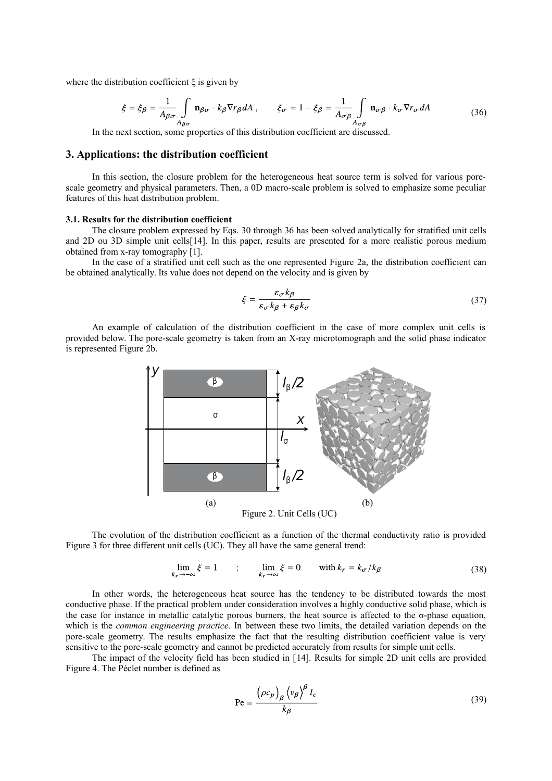where the distribution coefficient  $\xi$  is given by

$$
\xi = \xi_{\beta} = \frac{1}{A_{\beta\sigma}} \int_{A_{\beta\sigma}} \mathbf{n}_{\beta\sigma} \cdot k_{\beta} \nabla r_{\beta} dA , \qquad \xi_{\sigma} = 1 - \xi_{\beta} = \frac{1}{A_{\sigma\beta}} \int_{A_{\sigma\beta}} \mathbf{n}_{\sigma\beta} \cdot k_{\sigma} \nabla r_{\sigma} dA
$$
(36)

In the next section, some properties of this distribution coefficient are discussed.

# **3. Applications: the distribution coefficient**

In this section, the closure problem for the heterogeneous heat source term is solved for various porescale geometry and physical parameters. Then, a 0D macro-scale problem is solved to emphasize some peculiar features of this heat distribution problem.

#### **3.1. Results for the distribution coefficient**

The closure problem expressed by Eqs. [30](#page-4-2) through [36](#page-5-1) has been solved analytically for stratified unit cells and 2D ou 3D simple unit cells[\[14\]](#page-8-1). In this paper, results are presented for a more realistic porous medium obtained from x-ray tomography [\[1\]](#page-8-2).

In the case of a stratified unit cell such as the one represented Figure [2a](#page-5-0), the distribution coefficient can be obtained analytically. Its value does not depend on the velocity and is given by

<span id="page-5-1"></span>
$$
\xi = \frac{\varepsilon_{\sigma} k_{\beta}}{\varepsilon_{\sigma} k_{\beta} + \varepsilon_{\beta} k_{\sigma}} \tag{37}
$$

An example of calculation of the distribution coefficient in the case of more complex unit cells is provided below. The pore-scale geometry is taken from an X-ray microtomograph and the solid phase indicator is represented Figure [2b](#page-5-0).



The evolution of the distribution coefficient as a function of the thermal conductivity ratio is provided Figure [3](#page-6-1) for three different unit cells (UC). They all have the same general trend:

<span id="page-5-0"></span>
$$
\lim_{k_r \to -\infty} \xi = 1 \qquad ; \qquad \lim_{k_r \to \infty} \xi = 0 \qquad \text{with } k_r = k_{\sigma} / k_{\beta} \tag{38}
$$

In other words, the heterogeneous heat source has the tendency to be distributed towards the most conductive phase. If the practical problem under consideration involves a highly conductive solid phase, which is the case for instance in metallic catalytic porous burners, the heat source is affected to the σ-phase equation, which is the *common engineering practice*. In between these two limits, the detailed variation depends on the pore-scale geometry. The results emphasize the fact that the resulting distribution coefficient value is very sensitive to the pore-scale geometry and cannot be predicted accurately from results for simple unit cells.

The impact of the velocity field has been studied in [\[14\]](#page-8-1). Results for simple 2D unit cells are provided Figure [4.](#page-6-0) The Péclet number is defined as

$$
\text{Pe} = \frac{\left(\rho c_p\right)_{\beta} \left\langle v_{\beta}\right\rangle^{\beta} l_c}{k_{\beta}}
$$
\n(39)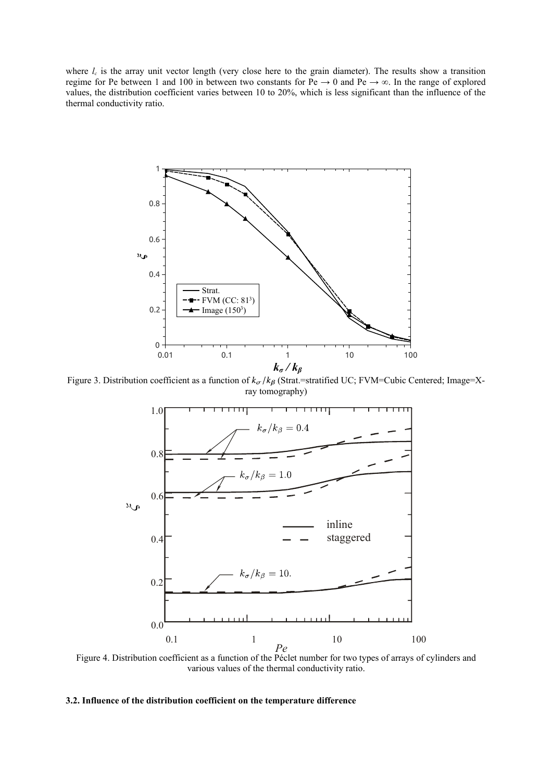where  $l_c$  is the array unit vector length (very close here to the grain diameter). The results show a transition regime for Pe between 1 and 100 in between two constants for Pe  $\rightarrow$  0 and Pe  $\rightarrow \infty$ . In the range of explored values, the distribution coefficient varies between 10 to 20%, which is less significant than the influence of the thermal conductivity ratio.



<span id="page-6-1"></span>Figure 3. Distribution coefficient as a function of  $k_{\sigma}/k_{\beta}$  (Strat.=stratified UC; FVM=Cubic Centered; Image=Xray tomography)



<span id="page-6-0"></span>Figure 4. Distribution coefficient as a function of the Péclet number for two types of arrays of cylinders and various values of the thermal conductivity ratio.

# **3.2. Influence of the distribution coefficient on the temperature difference**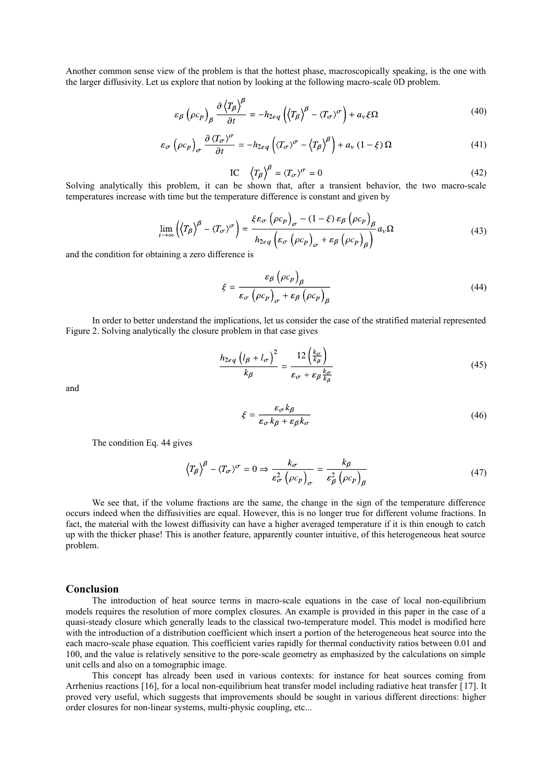Another common sense view of the problem is that the hottest phase, macroscopically speaking, is the one with the larger diffusivity. Let us explore that notion by looking at the following macro-scale 0D problem.

$$
\varepsilon_{\beta} \left( \rho c_{p} \right)_{\beta} \frac{\partial \left\langle T_{\beta} \right\rangle^{\beta}}{\partial t} = -h_{2eq} \left( \left\langle T_{\beta} \right\rangle^{\beta} - \left\langle T_{\sigma} \right\rangle^{\sigma} \right) + a_{\nu} \xi \Omega \tag{40}
$$

$$
\varepsilon_{\sigma} \left( \rho c_p \right)_{\sigma} \frac{\partial \left\langle T_{\sigma} \right\rangle^{\sigma}}{\partial t} = -h_{2eq} \left( \left\langle T_{\sigma} \right\rangle^{\sigma} - \left\langle T_{\beta} \right\rangle^{\beta} \right) + a_v \left( 1 - \xi \right) \Omega \tag{41}
$$

IC  $\langle T_{\beta} \rangle^{\beta} = \langle T_{\sigma} \rangle^{\sigma} = 0$ (42)

Solving analytically this problem, it can be shown that, after a transient behavior, the two macro-scale temperatures increase with time but the temperature difference is constant and given by

$$
\lim_{t \to \infty} \left( \left\langle T_{\beta} \right\rangle^{\beta} - \left\langle T_{\sigma} \right\rangle^{\sigma} \right) = \frac{\xi \varepsilon_{\sigma} \left( \rho c_{p} \right)_{\sigma} - (1 - \xi) \varepsilon_{\beta} \left( \rho c_{p} \right)_{\beta}}{h_{2eq} \left( \varepsilon_{\sigma} \left( \rho c_{p} \right)_{\sigma} + \varepsilon_{\beta} \left( \rho c_{p} \right)_{\beta} \right)} a_{\nu} \Omega \tag{43}
$$

and the condition for obtaining a zero difference is

<span id="page-7-0"></span>
$$
\xi = \frac{\varepsilon_{\beta} (\rho c_p)_{\beta}}{\varepsilon_{\sigma} (\rho c_p)_{\sigma} + \varepsilon_{\beta} (\rho c_p)_{\beta}}
$$
(44)

In order to better understand the implications, let us consider the case of the stratified material represented Figure [2.](#page-5-0) Solving analytically the closure problem in that case gives

$$
\frac{h_{2eq} \left(l_{\beta} + l_{\sigma}\right)^2}{k_{\beta}} = \frac{12 \left(\frac{k_{\sigma}}{k_{\beta}}\right)}{\varepsilon_{\sigma} + \varepsilon_{\beta} \frac{k_{\sigma}}{k_{\beta}}}
$$
(45)

and

$$
\xi = \frac{\varepsilon_{\sigma} k_{\beta}}{\varepsilon_{\sigma} k_{\beta} + \varepsilon_{\beta} k_{\sigma}}\tag{46}
$$

The condition Eq. [44](#page-7-0) gives

$$
\left\langle T_{\beta}\right\rangle^{\beta} - \left\langle T_{\sigma}\right\rangle^{\sigma} = 0 \Rightarrow \frac{k_{\sigma}}{\varepsilon_{\sigma}^{2} \left(\rho c_{p}\right)_{\sigma}} = \frac{k_{\beta}}{\varepsilon_{\beta}^{2} \left(\rho c_{p}\right)_{\beta}} \tag{47}
$$

We see that, if the volume fractions are the same, the change in the sign of the temperature difference occurs indeed when the diffusivities are equal. However, this is no longer true for different volume fractions. In fact, the material with the lowest diffusivity can have a higher averaged temperature if it is thin enough to catch up with the thicker phase! This is another feature, apparently counter intuitive, of this heterogeneous heat source problem.

#### **Conclusion**

The introduction of heat source terms in macro-scale equations in the case of local non-equilibrium models requires the resolution of more complex closures. An example is provided in this paper in the case of a quasi-steady closure which generally leads to the classical two-temperature model. This model is modified here with the introduction of a distribution coefficient which insert a portion of the heterogeneous heat source into the each macro-scale phase equation. This coefficient varies rapidly for thermal conductivity ratios between 0.01 and 100, and the value is relatively sensitive to the pore-scale geometry as emphasized by the calculations on simple unit cells and also on a tomographic image.

This concept has already been used in various contexts: for instance for heat sources coming from Arrhenius reactions [\[16\]](#page-8-15), for a local non-equilibrium heat transfer model including radiative heat transfer [\[17\]](#page-8-16). It proved very useful, which suggests that improvements should be sought in various different directions: higher order closures for non-linear systems, multi-physic coupling, etc...